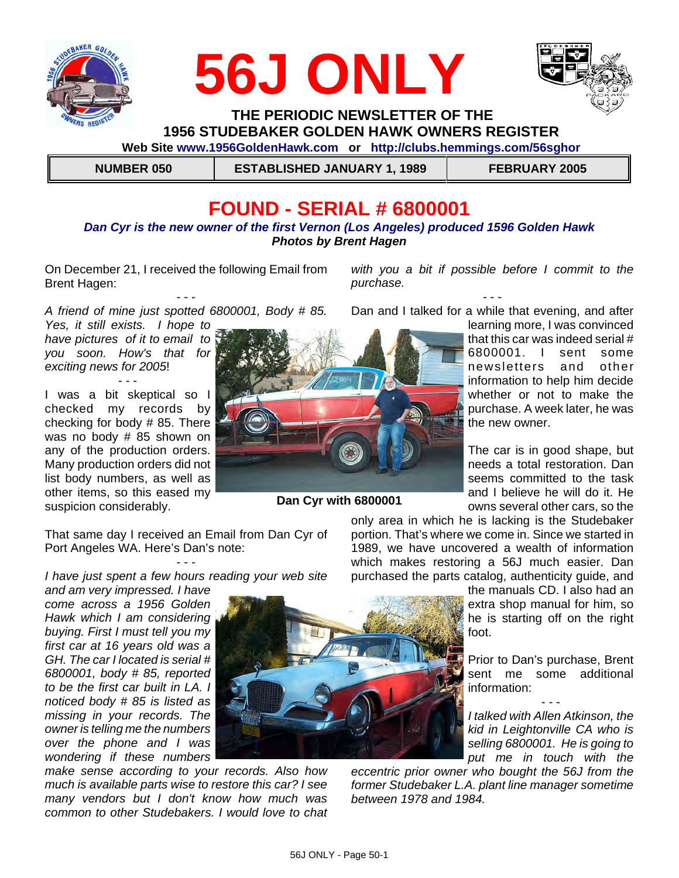





 **THE PERIODIC NEWSLETTER OF THE 1956 STUDEBAKER GOLDEN HAWK OWNERS REGISTER** 

 **Web Site www.1956GoldenHawk.com or http://clubs.hemmings.com/56sghor**

 **NUMBER 050 ESTABLISHED JANUARY 1, 1989 FEBRUARY 2005**

# **FOUND - SERIAL # 6800001**

#### *Dan Cyr is the new owner of the first Vernon (Los Angeles) produced 1596 Golden Hawk Photos by Brent Hagen*

On December 21, I received the following Email from Brent Hagen:

- - - *A friend of mine just spotted 6800001, Body # 85.*

*Yes, it still exists. I hope to have pictures of it to email to you soon. How's that for exciting news for 2005*!

- - - I was a bit skeptical so I checked my records by checking for body # 85. There was no body # 85 shown on any of the production orders. Many production orders did not list body numbers, as well as other items, so this eased my suspicion considerably.



**Dan Cyr with 6800001**

*purchase.* - - - Dan and I talked for a while that evening, and after

*with you a bit if possible before I commit to the*

learning more, I was convinced that this car was indeed serial # 6800001. I sent some newsletters and other information to help him decide whether or not to make the purchase. A week later, he was the new owner.

The car is in good shape, but needs a total restoration. Dan seems committed to the task and I believe he will do it. He owns several other cars, so the

only area in which he is lacking is the Studebaker portion. That's where we come in. Since we started in 1989, we have uncovered a wealth of information which makes restoring a 56J much easier. Dan purchased the parts catalog, authenticity guide, and

> the manuals CD. I also had an extra shop manual for him, so he is starting off on the right foot.

> Prior to Dan's purchase, Brent sent me some additional information:

> - - - *I talked with Allen Atkinson, the kid in Leightonville CA who is selling 6800001. He is going to put me in touch with the*

*eccentric prior owner who bought the 56J from the former Studebaker L.A. plant line manager sometime between 1978 and 1984.* 

That same day I received an Email from Dan Cyr of Port Angeles WA. Here's Dan's note:

- - - *I have just spent a few hours reading your web site*

*and am very impressed. I have come across a 1956 Golden Hawk which I am considering buying. First I must tell you my first car at 16 years old was a GH. The car I located is serial # 6800001, body # 85, reported to be the first car built in LA. I noticed body # 85 is listed as missing in your records. The owner is telling me the numbers over the phone and I was wondering if these numbers*

*make sense according to your records. Also how much is available parts wise to restore this car? I see many vendors but I don't know how much was common to other Studebakers. I would love to chat*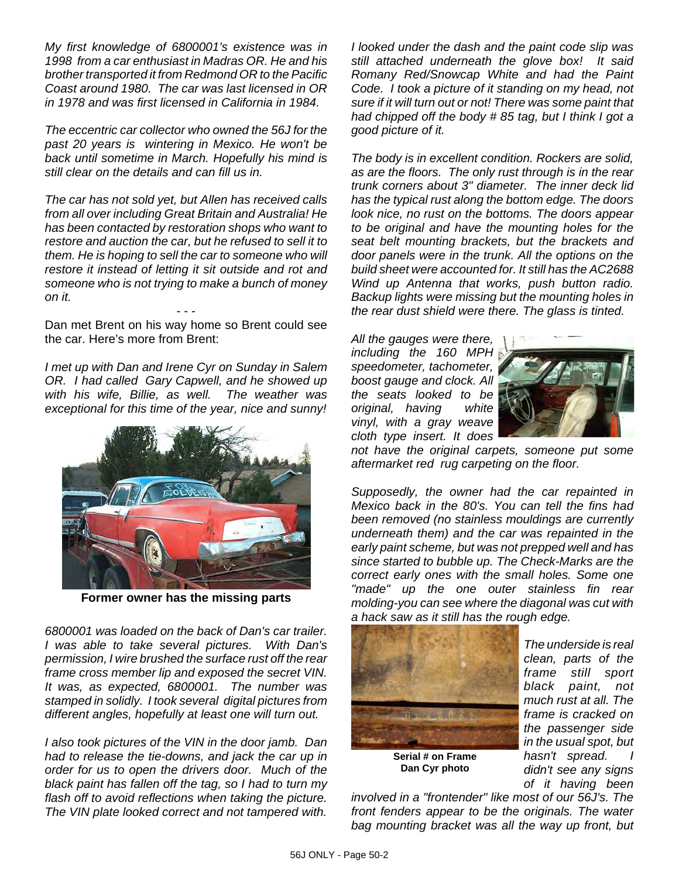*My first knowledge of 6800001's existence was in 1998 from a car enthusiast in Madras OR. He and his brother transported it from Redmond OR to the Pacific Coast around 1980. The car was last licensed in OR in 1978 and was first licensed in California in 1984.*

*The eccentric car collector who owned the 56J for the past 20 years is wintering in Mexico. He won't be back until sometime in March. Hopefully his mind is still clear on the details and can fill us in.*

*The car has not sold yet, but Allen has received calls from all over including Great Britain and Australia! He has been contacted by restoration shops who want to restore and auction the car, but he refused to sell it to them. He is hoping to sell the car to someone who will restore it instead of letting it sit outside and rot and someone who is not trying to make a bunch of money on it.*

- - - Dan met Brent on his way home so Brent could see the car. Here's more from Brent:

*I met up with Dan and Irene Cyr on Sunday in Salem OR. I had called Gary Capwell, and he showed up with his wife, Billie, as well. The weather was exceptional for this time of the year, nice and sunny!*



**Former owner has the missing parts**

*6800001 was loaded on the back of Dan's car trailer. I was able to take several pictures. With Dan's permission, I wire brushed the surface rust off the rear frame cross member lip and exposed the secret VIN. It was, as expected, 6800001. The number was stamped in solidly. I took several digital pictures from different angles, hopefully at least one will turn out.*

*I also took pictures of the VIN in the door jamb. Dan had to release the tie-downs, and jack the car up in order for us to open the drivers door. Much of the black paint has fallen off the tag, so I had to turn my flash off to avoid reflections when taking the picture. The VIN plate looked correct and not tampered with.*

*I looked under the dash and the paint code slip was still attached underneath the glove box! It said Romany Red/Snowcap White and had the Paint Code. I took a picture of it standing on my head, not sure if it will turn out or not! There was some paint that had chipped off the body # 85 tag, but I think I got a good picture of it.* 

*The body is in excellent condition. Rockers are solid, as are the floors. The only rust through is in the rear trunk corners about 3" diameter. The inner deck lid has the typical rust along the bottom edge. The doors look nice, no rust on the bottoms. The doors appear to be original and have the mounting holes for the seat belt mounting brackets, but the brackets and door panels were in the trunk. All the options on the build sheet were accounted for. It still has the AC2688 Wind up Antenna that works, push button radio. Backup lights were missing but the mounting holes in the rear dust shield were there. The glass is tinted.* 

*All the gauges were there, including the 160 MPH speedometer, tachometer, boost gauge and clock. All the seats looked to be original, having white vinyl, with a gray weave cloth type insert. It does*



*not have the original carpets, someone put some aftermarket red rug carpeting on the floor.* 

*Supposedly, the owner had the car repainted in Mexico back in the 80's. You can tell the fins had been removed (no stainless mouldings are currently underneath them) and the car was repainted in the early paint scheme, but was not prepped well and has since started to bubble up. The Check-Marks are the correct early ones with the small holes. Some one "made" up the one outer stainless fin rear molding-you can see where the diagonal was cut with a hack saw as it still has the rough edge.*



**Serial # on Frame Dan Cyr photo**

*The underside is real clean, parts of the frame still sport black paint, not much rust at all. The frame is cracked on the passenger side in the usual spot, but hasn't spread. I didn't see any signs of it having been*

*involved in a "frontender" like most of our 56J's. The front fenders appear to be the originals. The water bag mounting bracket was all the way up front, but*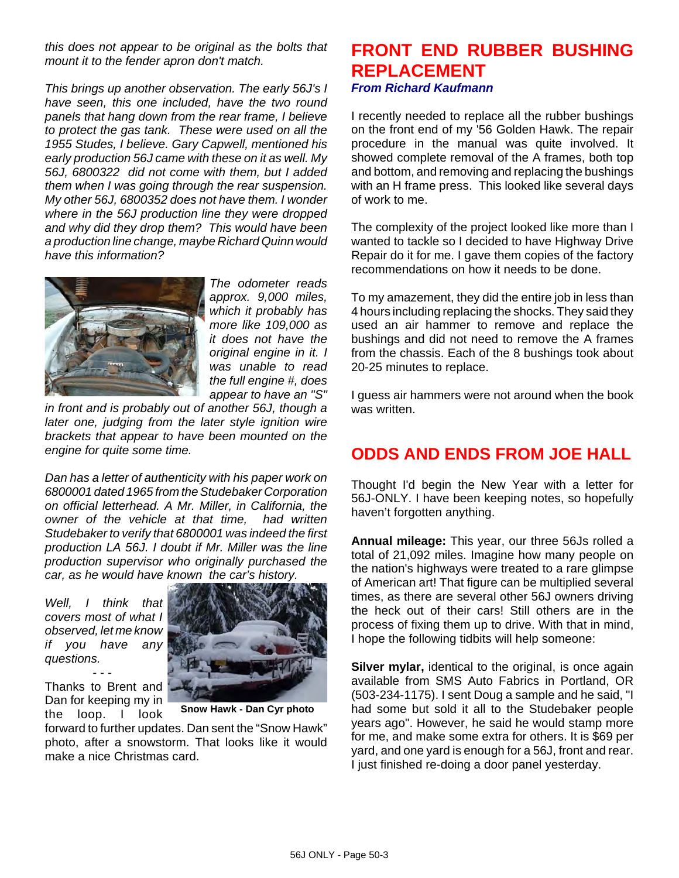*this does not appear to be original as the bolts that mount it to the fender apron don't match.* 

*This brings up another observation. The early 56J's I have seen, this one included, have the two round panels that hang down from the rear frame, I believe to protect the gas tank. These were used on all the 1955 Studes, I believe. Gary Capwell, mentioned his early production 56J came with these on it as well. My 56J, 6800322 did not come with them, but I added them when I was going through the rear suspension. My other 56J, 6800352 does not have them. I wonder where in the 56J production line they were dropped and why did they drop them? This would have been a production line change, maybe Richard Quinn would have this information?*



*The odometer reads approx. 9,000 miles, which it probably has more like 109,000 as it does not have the original engine in it. I was unable to read the full engine #, does appear to have an "S"*

*in front and is probably out of another 56J, though a later one, judging from the later style ignition wire brackets that appear to have been mounted on the engine for quite some time.*

*Dan has a letter of authenticity with his paper work on 6800001 dated 1965 from the Studebaker Corporation on official letterhead. A Mr. Miller, in California, the owner of the vehicle at that time, had written Studebaker to verify that 6800001 was indeed the first production LA 56J. I doubt if Mr. Miller was the line production supervisor who originally purchased the car, as he would have known the car's history.*

*Well, I think that covers most of what I observed, let me know if you have any questions. - - -*

Thanks to Brent and Dan for keeping my in the loop. I look



**Snow Hawk - Dan Cyr photo**

forward to further updates. Dan sent the "Snow Hawk" photo, after a snowstorm. That looks like it would make a nice Christmas card.

### **FRONT END RUBBER BUSHING REPLACEMENT** *From Richard Kaufmann*

I recently needed to replace all the rubber bushings on the front end of my '56 Golden Hawk. The repair procedure in the manual was quite involved. It showed complete removal of the A frames, both top and bottom, and removing and replacing the bushings with an H frame press. This looked like several days of work to me.

The complexity of the project looked like more than I wanted to tackle so I decided to have Highway Drive Repair do it for me. I gave them copies of the factory recommendations on how it needs to be done.

To my amazement, they did the entire job in less than 4 hours including replacing the shocks. They said they used an air hammer to remove and replace the bushings and did not need to remove the A frames from the chassis. Each of the 8 bushings took about 20-25 minutes to replace.

I guess air hammers were not around when the book was written.

### **ODDS AND ENDS FROM JOE HALL**

Thought I'd begin the New Year with a letter for 56J-ONLY. I have been keeping notes, so hopefully haven't forgotten anything.

**Annual mileage:** This year, our three 56Js rolled a total of 21,092 miles. Imagine how many people on the nation's highways were treated to a rare glimpse of American art! That figure can be multiplied several times, as there are several other 56J owners driving the heck out of their cars! Still others are in the process of fixing them up to drive. With that in mind, I hope the following tidbits will help someone:

**Silver mylar,** identical to the original, is once again available from SMS Auto Fabrics in Portland, OR (503-234-1175). I sent Doug a sample and he said, "I had some but sold it all to the Studebaker people years ago". However, he said he would stamp more for me, and make some extra for others. It is \$69 per yard, and one yard is enough for a 56J, front and rear. I just finished re-doing a door panel yesterday.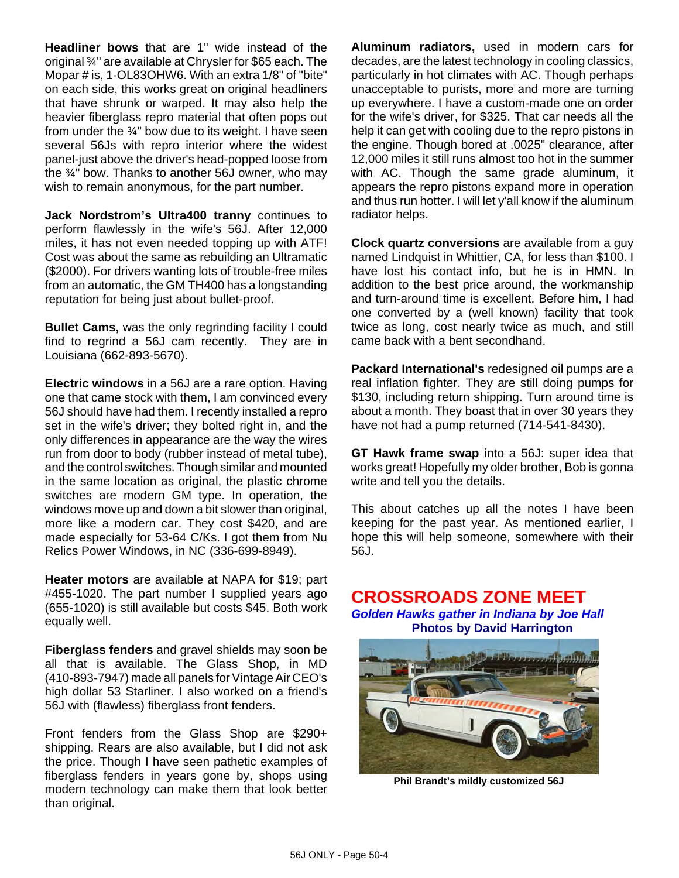**Headliner bows** that are 1" wide instead of the original ¾" are available at Chrysler for \$65 each. The Mopar # is, 1-OL83OHW6. With an extra 1/8" of "bite" on each side, this works great on original headliners that have shrunk or warped. It may also help the heavier fiberglass repro material that often pops out from under the  $\frac{3}{4}$ " bow due to its weight. I have seen several 56Js with repro interior where the widest panel-just above the driver's head-popped loose from the ¾" bow. Thanks to another 56J owner, who may wish to remain anonymous, for the part number.

**Jack Nordstrom's Ultra400 tranny** continues to perform flawlessly in the wife's 56J. After 12,000 miles, it has not even needed topping up with ATF! Cost was about the same as rebuilding an Ultramatic (\$2000). For drivers wanting lots of trouble-free miles from an automatic, the GM TH400 has a longstanding reputation for being just about bullet-proof.

**Bullet Cams, was the only regrinding facility I could** find to regrind a 56J cam recently. They are in Louisiana (662-893-5670).

**Electric windows** in a 56J are a rare option. Having one that came stock with them, I am convinced every 56J should have had them. I recently installed a repro set in the wife's driver; they bolted right in, and the only differences in appearance are the way the wires run from door to body (rubber instead of metal tube), and the control switches. Though similar and mounted in the same location as original, the plastic chrome switches are modern GM type. In operation, the windows move up and down a bit slower than original, more like a modern car. They cost \$420, and are made especially for 53-64 C/Ks. I got them from Nu Relics Power Windows, in NC (336-699-8949).

**Heater motors** are available at NAPA for \$19; part #455-1020. The part number I supplied years ago (655-1020) is still available but costs \$45. Both work equally well.

**Fiberglass fenders** and gravel shields may soon be all that is available. The Glass Shop, in MD (410-893-7947) made all panels for Vintage Air CEO's high dollar 53 Starliner. I also worked on a friend's 56J with (flawless) fiberglass front fenders.

Front fenders from the Glass Shop are \$290+ shipping. Rears are also available, but I did not ask the price. Though I have seen pathetic examples of fiberglass fenders in years gone by, shops using modern technology can make them that look better than original.

**Aluminum radiators,** used in modern cars for decades, are the latest technology in cooling classics, particularly in hot climates with AC. Though perhaps unacceptable to purists, more and more are turning up everywhere. I have a custom-made one on order for the wife's driver, for \$325. That car needs all the help it can get with cooling due to the repro pistons in the engine. Though bored at .0025" clearance, after 12,000 miles it still runs almost too hot in the summer with AC. Though the same grade aluminum, it appears the repro pistons expand more in operation and thus run hotter. I will let y'all know if the aluminum radiator helps.

**Clock quartz conversions** are available from a guy named Lindquist in Whittier, CA, for less than \$100. I have lost his contact info, but he is in HMN. In addition to the best price around, the workmanship and turn-around time is excellent. Before him, I had one converted by a (well known) facility that took twice as long, cost nearly twice as much, and still came back with a bent secondhand.

**Packard International's** redesigned oil pumps are a real inflation fighter. They are still doing pumps for \$130, including return shipping. Turn around time is about a month. They boast that in over 30 years they have not had a pump returned (714-541-8430).

**GT Hawk frame swap** into a 56J: super idea that works great! Hopefully my older brother, Bob is gonna write and tell you the details.

This about catches up all the notes I have been keeping for the past year. As mentioned earlier, I hope this will help someone, somewhere with their 56J.

### **CROSSROADS ZONE MEET**

*Golden Hawks gather in Indiana by Joe Hall* **Photos by David Harrington**



**Phil Brandt's mildly customized 56J**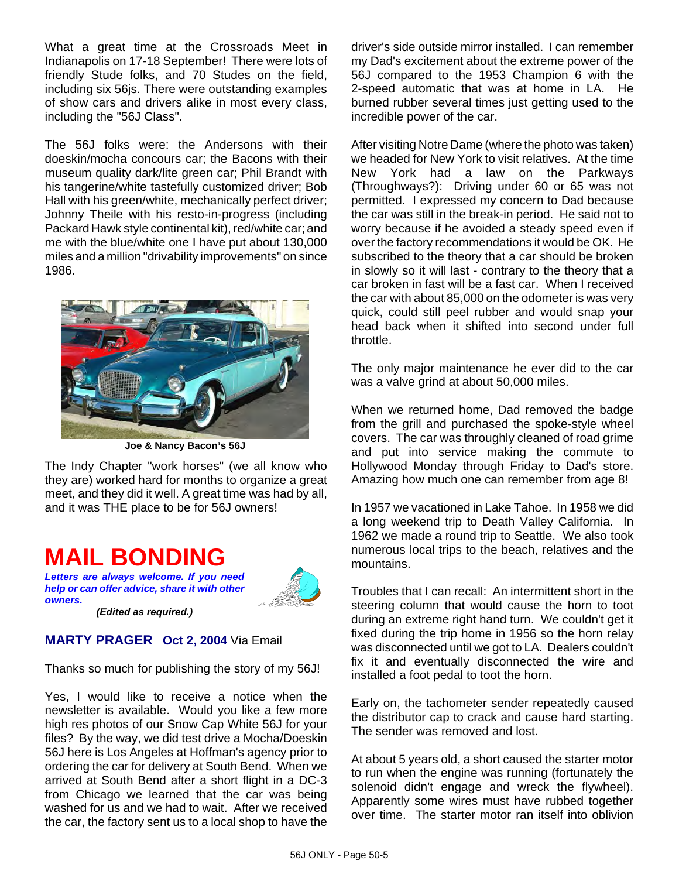What a great time at the Crossroads Meet in Indianapolis on 17-18 September! There were lots of friendly Stude folks, and 70 Studes on the field, including six 56js. There were outstanding examples of show cars and drivers alike in most every class, including the "56J Class".

The 56J folks were: the Andersons with their doeskin/mocha concours car; the Bacons with their museum quality dark/lite green car; Phil Brandt with his tangerine/white tastefully customized driver; Bob Hall with his green/white, mechanically perfect driver; Johnny Theile with his resto-in-progress (including Packard Hawk style continental kit), red/white car; and me with the blue/white one I have put about 130,000 miles and a million "drivability improvements" on since 1986.



**Joe & Nancy Bacon's 56J**

The Indy Chapter "work horses" (we all know who they are) worked hard for months to organize a great meet, and they did it well. A great time was had by all, and it was THE place to be for 56J owners!

# **MAIL BONDING**

*Letters are always welcome. If you need help or can offer advice, share it with other owners.*



*(Edited as required.)*

### **MARTY PRAGER Oct 2, 2004** Via Email

Thanks so much for publishing the story of my 56J!

Yes, I would like to receive a notice when the newsletter is available. Would you like a few more high res photos of our Snow Cap White 56J for your files? By the way, we did test drive a Mocha/Doeskin 56J here is Los Angeles at Hoffman's agency prior to ordering the car for delivery at South Bend. When we arrived at South Bend after a short flight in a DC-3 from Chicago we learned that the car was being washed for us and we had to wait. After we received the car, the factory sent us to a local shop to have the driver's side outside mirror installed. I can remember my Dad's excitement about the extreme power of the 56J compared to the 1953 Champion 6 with the 2-speed automatic that was at home in LA. He burned rubber several times just getting used to the incredible power of the car.

After visiting Notre Dame (where the photo was taken) we headed for New York to visit relatives. At the time New York had a law on the Parkways (Throughways?): Driving under 60 or 65 was not permitted. I expressed my concern to Dad because the car was still in the break-in period. He said not to worry because if he avoided a steady speed even if over the factory recommendations it would be OK. He subscribed to the theory that a car should be broken in slowly so it will last - contrary to the theory that a car broken in fast will be a fast car. When I received the car with about 85,000 on the odometer is was very quick, could still peel rubber and would snap your head back when it shifted into second under full throttle.

The only major maintenance he ever did to the car was a valve grind at about 50,000 miles.

When we returned home, Dad removed the badge from the grill and purchased the spoke-style wheel covers. The car was throughly cleaned of road grime and put into service making the commute to Hollywood Monday through Friday to Dad's store. Amazing how much one can remember from age 8!

In 1957 we vacationed in Lake Tahoe. In 1958 we did a long weekend trip to Death Valley California. In 1962 we made a round trip to Seattle. We also took numerous local trips to the beach, relatives and the mountains.

Troubles that I can recall: An intermittent short in the steering column that would cause the horn to toot during an extreme right hand turn. We couldn't get it fixed during the trip home in 1956 so the horn relay was disconnected until we got to LA. Dealers couldn't fix it and eventually disconnected the wire and installed a foot pedal to toot the horn.

Early on, the tachometer sender repeatedly caused the distributor cap to crack and cause hard starting. The sender was removed and lost.

At about 5 years old, a short caused the starter motor to run when the engine was running (fortunately the solenoid didn't engage and wreck the flywheel). Apparently some wires must have rubbed together over time. The starter motor ran itself into oblivion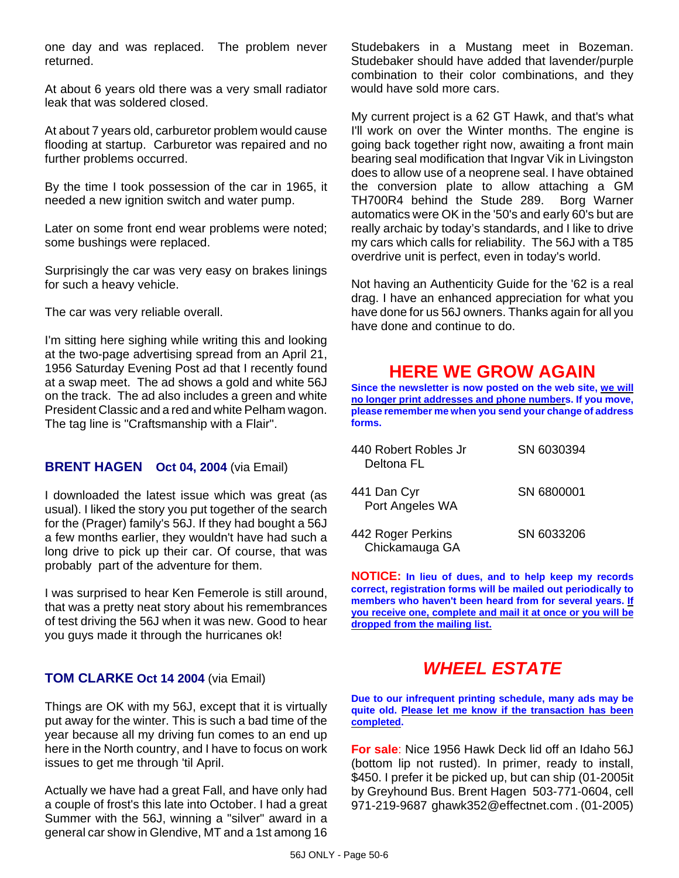one day and was replaced. The problem never returned.

At about 6 years old there was a very small radiator leak that was soldered closed.

At about 7 years old, carburetor problem would cause flooding at startup. Carburetor was repaired and no further problems occurred.

By the time I took possession of the car in 1965, it needed a new ignition switch and water pump.

Later on some front end wear problems were noted; some bushings were replaced.

Surprisingly the car was very easy on brakes linings for such a heavy vehicle.

The car was very reliable overall.

I'm sitting here sighing while writing this and looking at the two-page advertising spread from an April 21, 1956 Saturday Evening Post ad that I recently found at a swap meet. The ad shows a gold and white 56J on the track. The ad also includes a green and white President Classic and a red and white Pelham wagon. The tag line is "Craftsmanship with a Flair".

### **BRENT HAGEN Oct 04, 2004** (via Email)

I downloaded the latest issue which was great (as usual). I liked the story you put together of the search for the (Prager) family's 56J. If they had bought a 56J a few months earlier, they wouldn't have had such a long drive to pick up their car. Of course, that was probably part of the adventure for them.

I was surprised to hear Ken Femerole is still around, that was a pretty neat story about his remembrances of test driving the 56J when it was new. Good to hear you guys made it through the hurricanes ok!

### **TOM CLARKE Oct 14 2004** (via Email)

Things are OK with my 56J, except that it is virtually put away for the winter. This is such a bad time of the year because all my driving fun comes to an end up here in the North country, and I have to focus on work issues to get me through 'til April.

Actually we have had a great Fall, and have only had a couple of frost's this late into October. I had a great Summer with the 56J, winning a "silver" award in a general car show in Glendive, MT and a 1st among 16

Studebakers in a Mustang meet in Bozeman. Studebaker should have added that lavender/purple combination to their color combinations, and they would have sold more cars.

My current project is a 62 GT Hawk, and that's what I'll work on over the Winter months. The engine is going back together right now, awaiting a front main bearing seal modification that Ingvar Vik in Livingston does to allow use of a neoprene seal. I have obtained the conversion plate to allow attaching a GM TH700R4 behind the Stude 289. Borg Warner automatics were OK in the '50's and early 60's but are really archaic by today's standards, and I like to drive my cars which calls for reliability. The 56J with a T85 overdrive unit is perfect, even in today's world.

Not having an Authenticity Guide for the '62 is a real drag. I have an enhanced appreciation for what you have done for us 56J owners. Thanks again for all you have done and continue to do.

### **HERE WE GROW AGAIN**

**Since the newsletter is now posted on the web site, we will no longer print addresses and phone numbers. If you move, please remember me when you send your change of address forms.**

| 440 Robert Robles Jr<br>Deltona FL  | SN 6030394 |
|-------------------------------------|------------|
| 441 Dan Cyr<br>Port Angeles WA      | SN 6800001 |
| 442 Roger Perkins<br>Chickamauga GA | SN 6033206 |

**NOTICE: In lieu of dues, and to help keep my records correct, registration forms will be mailed out periodically to members who haven't been heard from for several years. If you receive one, complete and mail it at once or you will be dropped from the mailing list.**

# *WHEEL ESTATE*

**Due to our infrequent printing schedule, many ads may be quite old. Please let me know if the transaction has been completed.**

**For sale**: Nice 1956 Hawk Deck lid off an Idaho 56J (bottom lip not rusted). In primer, ready to install, \$450. I prefer it be picked up, but can ship (01-2005it by Greyhound Bus. Brent Hagen 503-771-0604, cell 971-219-9687 ghawk352@effectnet.com . (01-2005)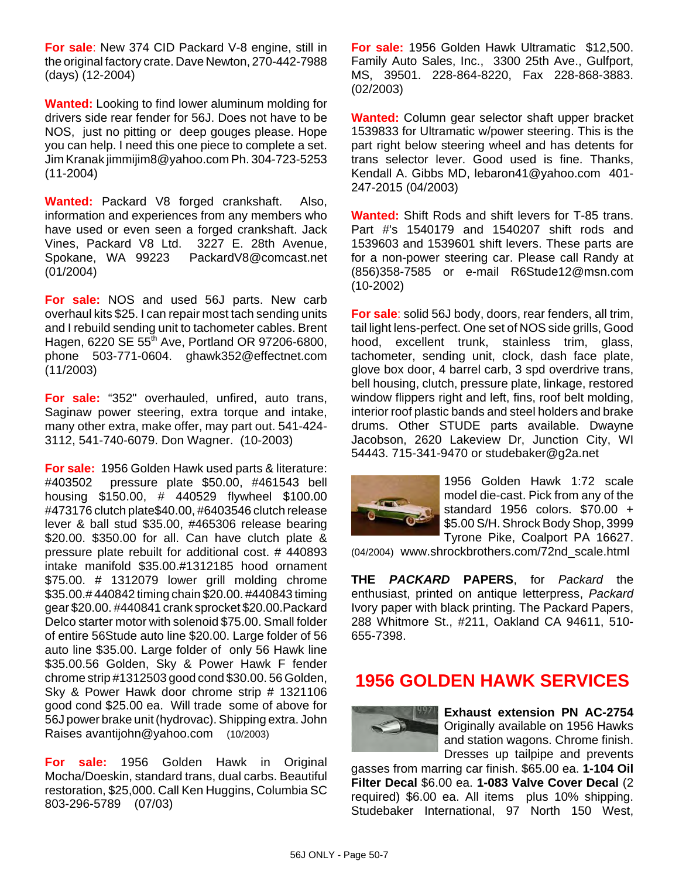**For sale**: New 374 CID Packard V-8 engine, still in the original factory crate. Dave Newton, 270-442-7988 (days) (12-2004)

**Wanted:** Looking to find lower aluminum molding for drivers side rear fender for 56J. Does not have to be NOS, just no pitting or deep gouges please. Hope you can help. I need this one piece to complete a set. Jim Kranak jimmijim8@yahoo.com Ph. 304-723-5253 (11-2004)

**Wanted:** Packard V8 forged crankshaft. Also, information and experiences from any members who have used or even seen a forged crankshaft. Jack Vines, Packard V8 Ltd. 3227 E. 28th Avenue, Spokane, WA 99223 PackardV8@comcast.net (01/2004)

**For sale:** NOS and used 56J parts. New carb overhaul kits \$25. I can repair most tach sending units and I rebuild sending unit to tachometer cables. Brent Hagen, 6220 SE  $55<sup>th</sup>$  Ave, Portland OR 97206-6800, phone 503-771-0604. ghawk352@effectnet.com (11/2003)

**For sale:** "352" overhauled, unfired, auto trans, Saginaw power steering, extra torque and intake, many other extra, make offer, may part out. 541-424- 3112, 541-740-6079. Don Wagner. (10-2003)

**For sale:** 1956 Golden Hawk used parts & literature: #403502 pressure plate \$50.00, #461543 bell housing \$150.00, # 440529 flywheel \$100.00 #473176 clutch plate\$40.00, #6403546 clutch release lever & ball stud \$35.00, #465306 release bearing \$20.00. \$350.00 for all. Can have clutch plate & pressure plate rebuilt for additional cost. # 440893 intake manifold \$35.00.#1312185 hood ornament \$75.00. # 1312079 lower grill molding chrome \$35.00.# 440842 timing chain \$20.00. #440843 timing gear \$20.00. #440841 crank sprocket \$20.00.Packard Delco starter motor with solenoid \$75.00. Small folder of entire 56Stude auto line \$20.00. Large folder of 56 auto line \$35.00. Large folder of only 56 Hawk line \$35.00.56 Golden, Sky & Power Hawk F fender chrome strip #1312503 good cond \$30.00. 56 Golden, Sky & Power Hawk door chrome strip # 1321106 good cond \$25.00 ea. Will trade some of above for 56J power brake unit (hydrovac). Shipping extra. John Raises avantijohn@yahoo.com (10/2003)

**For sale:** 1956 Golden Hawk in Original Mocha/Doeskin, standard trans, dual carbs. Beautiful restoration, \$25,000. Call Ken Huggins, Columbia SC 803-296-5789 (07/03)

**For sale:** 1956 Golden Hawk Ultramatic \$12,500. Family Auto Sales, Inc., 3300 25th Ave., Gulfport, MS, 39501. 228-864-8220, Fax 228-868-3883. (02/2003)

**Wanted:** Column gear selector shaft upper bracket 1539833 for Ultramatic w/power steering. This is the part right below steering wheel and has detents for trans selector lever. Good used is fine. Thanks, Kendall A. Gibbs MD, lebaron41@yahoo.com 401- 247-2015 (04/2003)

**Wanted:** Shift Rods and shift levers for T-85 trans. Part #'s 1540179 and 1540207 shift rods and 1539603 and 1539601 shift levers. These parts are for a non-power steering car. Please call Randy at (856)358-7585 or e-mail R6Stude12@msn.com (10-2002)

**For sale**: solid 56J body, doors, rear fenders, all trim, tail light lens-perfect. One set of NOS side grills, Good hood, excellent trunk, stainless trim, glass, tachometer, sending unit, clock, dash face plate, glove box door, 4 barrel carb, 3 spd overdrive trans, bell housing, clutch, pressure plate, linkage, restored window flippers right and left, fins, roof belt molding, interior roof plastic bands and steel holders and brake drums. Other STUDE parts available. Dwayne Jacobson, 2620 Lakeview Dr, Junction City, WI 54443. 715-341-9470 or studebaker@g2a.net



1956 Golden Hawk 1:72 scale model die-cast. Pick from any of the standard 1956 colors. \$70.00 + \$5.00 S/H. Shrock Body Shop, 3999 Tyrone Pike, Coalport PA 16627.

(04/2004) www.shrockbrothers.com/72nd\_scale.html

**THE** *PACKARD* **PAPERS**, for *Packard* the enthusiast, printed on antique letterpress, *Packard* Ivory paper with black printing. The Packard Papers, 288 Whitmore St., #211, Oakland CA 94611, 510- 655-7398.

# **1956 GOLDEN HAWK SERVICES**



**Exhaust extension PN AC-2754** Originally available on 1956 Hawks and station wagons. Chrome finish. Dresses up tailpipe and prevents

gasses from marring car finish. \$65.00 ea. **1-104 Oil Filter Decal** \$6.00 ea. **1-083 Valve Cover Decal** (2 required) \$6.00 ea. All items plus 10% shipping. Studebaker International, 97 North 150 West,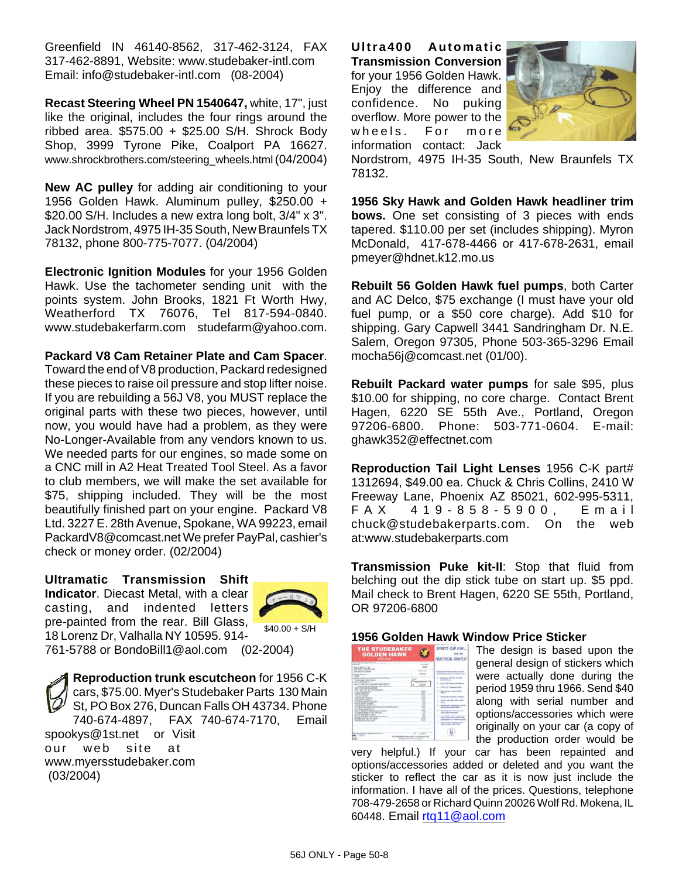Greenfield IN 46140-8562, 317-462-3124, FAX 317-462-8891, Website: www.studebaker-intl.com Email: info@studebaker-intl.com (08-2004)

**Recast Steering Wheel PN 1540647,** white, 17", just like the original, includes the four rings around the ribbed area.  $$575.00 + $25.00$  S/H. Shrock Body Shop, 3999 Tyrone Pike, Coalport PA 16627. www.shrockbrothers.com/steering\_wheels.html (04/2004)

**New AC pulley** for adding air conditioning to your 1956 Golden Hawk. Aluminum pulley, \$250.00 + \$20.00 S/H. Includes a new extra long bolt,  $3/4$ " x 3". Jack Nordstrom, 4975 IH-35 South, New Braunfels TX 78132, phone 800-775-7077. (04/2004)

**Electronic Ignition Modules** for your 1956 Golden Hawk. Use the tachometer sending unit with the points system. John Brooks, 1821 Ft Worth Hwy, Weatherford TX 76076, Tel 817-594-0840. www.studebakerfarm.com studefarm@yahoo.com.

**Packard V8 Cam Retainer Plate and Cam Spacer**. Toward the end of V8 production, Packard redesigned these pieces to raise oil pressure and stop lifter noise. If you are rebuilding a 56J V8, you MUST replace the original parts with these two pieces, however, until now, you would have had a problem, as they were

No-Longer-Available from any vendors known to us. We needed parts for our engines, so made some on a CNC mill in A2 Heat Treated Tool Steel. As a favor to club members, we will make the set available for \$75, shipping included. They will be the most beautifully finished part on your engine. Packard V8 Ltd. 3227 E. 28th Avenue, Spokane, WA 99223, email PackardV8@comcast.net We prefer PayPal, cashier's check or money order. (02/2004)

**Ultramatic Transmission Shift Indicator**. Diecast Metal, with a clear casting, and indented letters pre-painted from the rear. Bill Glass, 18 Lorenz Dr, Valhalla NY 10595. 914- 761-5788 or BondoBill1@aol.com (02-2004)



 $$40.00 + S/H$ 

**Reproduction trunk escutcheon** for 1956 C-K cars, \$75.00. Myer's Studebaker Parts 130 Main St, PO Box 276, Duncan Falls OH 43734. Phone 740-674-4897, FAX 740-674-7170, Email spookys@1st.net or Visit our web site at www.myersstudebaker.com (03/2004)

**Ultra400 Automatic Transmission Conversion** for your 1956 Golden Hawk. Enjoy the difference and confidence. No puking overflow. More power to the wheels. For more information contact: Jack



Nordstrom, 4975 IH-35 South, New Braunfels TX 78132.

**1956 Sky Hawk and Golden Hawk headliner trim bows.** One set consisting of 3 pieces with ends tapered. \$110.00 per set (includes shipping). Myron McDonald, 417-678-4466 or 417-678-2631, email pmeyer@hdnet.k12.mo.us

**Rebuilt 56 Golden Hawk fuel pumps**, both Carter and AC Delco, \$75 exchange (I must have your old fuel pump, or a \$50 core charge). Add \$10 for shipping. Gary Capwell 3441 Sandringham Dr. N.E. Salem, Oregon 97305, Phone 503-365-3296 Email mocha56j@comcast.net (01/00).

**Rebuilt Packard water pumps** for sale \$95, plus \$10.00 for shipping, no core charge. Contact Brent Hagen, 6220 SE 55th Ave., Portland, Oregon 97206-6800. Phone: 503-771-0604. E-mail: ghawk352@effectnet.com

**Reproduction Tail Light Lenses** 1956 C-K part# 1312694, \$49.00 ea. Chuck & Chris Collins, 2410 W Freeway Lane, Phoenix AZ 85021, 602-995-5311, FAX 419-858-5900, Email chuck@studebakerparts.com. On the web at:www.studebakerparts.com

**Transmission Puke kit-II**: Stop that fluid from belching out the dip stick tube on start up. \$5 ppd. Mail check to Brent Hagen, 6220 SE 55th, Portland, OR 97206-6800

#### **1956 Golden Hawk Window Price Sticker**

| THE STUDEBAKER<br><b>GOLDEN HAWK</b><br><b>SEW 1</b><br>The resume in the first first com-                                                                                                                                                                                                                                                                                                                                                                                                                                                                                                                                                                                                                                                                                                                                                                                                  | SPORTS CAR FUN<br>PRACTICAL GRAIDS!                                                                                                                                                                                                                                                                                                                                                                                                              |
|---------------------------------------------------------------------------------------------------------------------------------------------------------------------------------------------------------------------------------------------------------------------------------------------------------------------------------------------------------------------------------------------------------------------------------------------------------------------------------------------------------------------------------------------------------------------------------------------------------------------------------------------------------------------------------------------------------------------------------------------------------------------------------------------------------------------------------------------------------------------------------------------|--------------------------------------------------------------------------------------------------------------------------------------------------------------------------------------------------------------------------------------------------------------------------------------------------------------------------------------------------------------------------------------------------------------------------------------------------|
| <b>STATISTICS</b><br>an inspirate late<br>to short creating and<br><b>MA ANTIST FROM AND A</b><br><b>Millen College At</b><br><b>All de sed to FreeDOM</b><br><b>MESSING</b> FRE<br><b>Call Attitudes for</b><br>and not attain Printed about 100 per collect 100<br>٠<br>privating with and followed are followed<br>THE CON OF OUR PRODUCTS<br><br><b>Jan Walshall</b><br><br><b>Har Fillmo</b><br>٠<br><b>N.I. F LANSE</b><br>۰<br><b>METHIA SIANS</b><br>arrive for Line VI<br>s<br><b>PERMIT WAS STILLING</b><br><b>PERMIT NAME</b><br>v.<br>÷<br>NAME OF GROOM<br>۰<br>21 256 EL BarTOEN & APARTMENT EXTR<br>٠<br>and the party standard and<br>. .<br>The Middle Principal and in TV Treasure<br>٠<br><b>Products Contract of The Contractor</b><br>÷<br><b>COMMANDATION</b><br>÷<br>THE THRUSH RECORD LINES STATE RT.<br>÷<br>of the will be the com-<br>--<br>the first production | at the both course of the<br>1. Museum Street of<br>sense carried beau<br>by the real wide of books<br>CALL AP SALE<br>any harmond as<br>and Glass & seller<br><b>Humor and forest</b><br><b>Manager Associations Charles</b><br><b><i><u>Standing lines Secretary of </u></i></b><br><b>Senior worked buildings</b><br><b>Seat Might select of</b><br>×<br><b>PEAK AND CONTRACT</b><br>--<br>deal insurance futures in the<br><b>STATISTICS</b> |
| 26.19<br><b>HEATLE &amp; RECEIVED FOR</b><br><b>Business A division who</b>                                                                                                                                                                                                                                                                                                                                                                                                                                                                                                                                                                                                                                                                                                                                                                                                                 |                                                                                                                                                                                                                                                                                                                                                                                                                                                  |

The design is based upon the general design of stickers which were actually done during the period 1959 thru 1966. Send \$40 along with serial number and options/accessories which were originally on your car (a copy of the production order would be

very helpful.) If your car has been repainted and options/accessories added or deleted and you want the sticker to reflect the car as it is now just include the information. I have all of the prices. Questions, telephone 708-479-2658 or Richard Quinn 20026 Wolf Rd. Mokena, IL 60448. Email rtq11@aol.com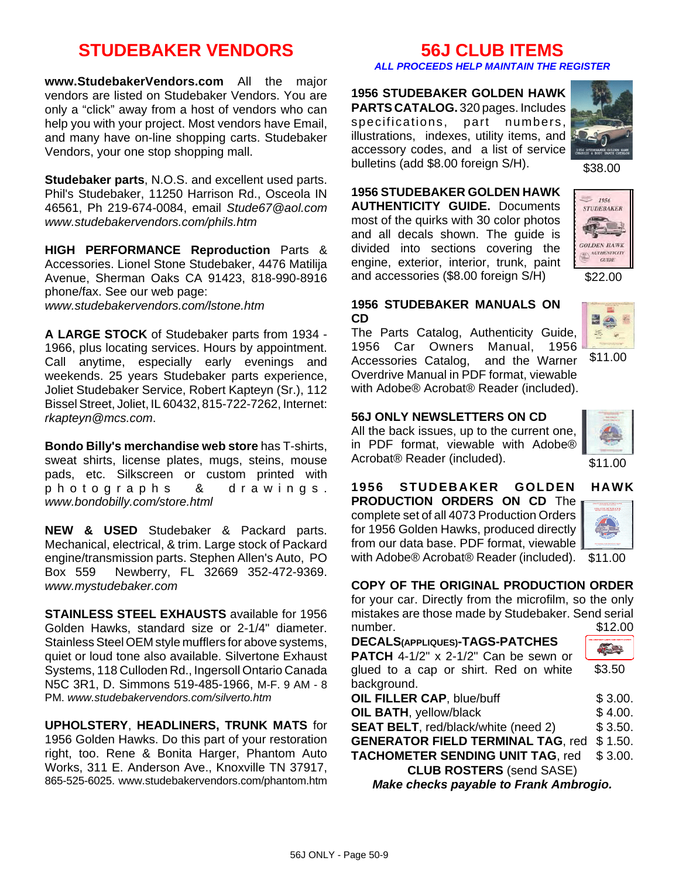# **STUDEBAKER VENDORS**

**www.StudebakerVendors.com** All the major vendors are listed on Studebaker Vendors. You are only a "click" away from a host of vendors who can help you with your project. Most vendors have Email, and many have on-line shopping carts. Studebaker Vendors, your one stop shopping mall.

**Studebaker parts**, N.O.S. and excellent used parts. Phil's Studebaker, 11250 Harrison Rd., Osceola IN 46561, Ph 219-674-0084, email *Stude67@aol.com www.studebakervendors.com/phils.htm*

**HIGH PERFORMANCE Reproduction** Parts & Accessories. Lionel Stone Studebaker, 4476 Matilija Avenue, Sherman Oaks CA 91423, 818-990-8916 phone/fax. See our web page: *www.studebakervendors.com/lstone.htm*

**A LARGE STOCK** of Studebaker parts from 1934 - 1966, plus locating services. Hours by appointment. Call anytime, especially early evenings and weekends. 25 years Studebaker parts experience, Joliet Studebaker Service, Robert Kapteyn (Sr.), 112 Bissel Street, Joliet, IL 60432, 815-722-7262, Internet: *rkapteyn@mcs.com*.

**Bondo Billy's merchandise web store** has T-shirts, sweat shirts, license plates, mugs, steins, mouse pads, etc. Silkscreen or custom printed with photographs & drawings. *www.bondobilly.com/store.html*

**NEW & USED** Studebaker & Packard parts. Mechanical, electrical, & trim. Large stock of Packard engine/transmission parts. Stephen Allen's Auto, PO Box 559 Newberry, FL 32669 352-472-9369. *www.mystudebaker.com*

**STAINLESS STEEL EXHAUSTS** available for 1956 Golden Hawks, standard size or 2-1/4" diameter. Stainless Steel OEM style mufflers for above systems, quiet or loud tone also available. Silvertone Exhaust Systems, 118 Culloden Rd., Ingersoll Ontario Canada N5C 3R1, D. Simmons 519-485-1966, M-F. 9 AM - 8 PM. *www.studebakervendors.com/silverto.htm*

**UPHOLSTERY**, **HEADLINERS, TRUNK MATS** for 1956 Golden Hawks. Do this part of your restoration right, too. Rene & Bonita Harger, Phantom Auto Works, 311 E. Anderson Ave., Knoxville TN 37917, 865-525-6025. www.studebakervendors.com/phantom.htm

## **56J CLUB ITEMS**

#### *ALL PROCEEDS HELP MAINTAIN THE REGISTER*

**1956 STUDEBAKER GOLDEN HAWK PARTS CATALOG.** 320 pages. Includes specifications, part numbers, illustrations, indexes, utility items, and accessory codes, and a list of service bulletins (add \$8.00 foreign S/H).



\$38.00

**1956 STUDEBAKER GOLDEN HAWK AUTHENTICITY GUIDE.** Documents most of the quirks with 30 color photos and all decals shown. The guide is divided into sections covering the engine, exterior, interior, trunk, paint and accessories (\$8.00 foreign S/H)



\$22.00

#### **1956 STUDEBAKER MANUALS ON CD**

The Parts Catalog, Authenticity Guide, 1956 Car Owners Manual, 1956 Accessories Catalog, and the Warner Overdrive Manual in PDF format, viewable with Adobe® Acrobat® Reader (included).



\$11.00

### **56J ONLY NEWSLETTERS ON CD**

All the back issues, up to the current one, in PDF format, viewable with Adobe® Acrobat® Reader (included).



\$11.00

#### with Adobe® Acrobat® Reader (included). \$11.00 **1956 STUDEBAKER GOLDEN HAWK PRODUCTION ORDERS ON CD** The complete set of all 4073 Production Orders for 1956 Golden Hawks, produced directly from our data base. PDF format, viewable



### **COPY OF THE ORIGINAL PRODUCTION ORDER**

for your car. Directly from the microfilm, so the only mistakes are those made by Studebaker. Send serial number. \$12.00

\$3.50 **PATCH** 4-1/2" x 2-1/2" Can be sewn or glued to a cap or shirt. Red on white background. **OIL FILLER CAP.** blue/buff  $$3.00.$ **OIL BATH**, yellow/black  $$ 4.00.$ **SEAT BELT**, red/black/white (need 2) \$ 3.50. **GENERATOR FIELD TERMINAL TAG**, red \$ 1.50. **TACHOMETER SENDING UNIT TAG**, red \$ 3.00.

**CLUB ROSTERS** (send SASE)

*Make checks payable to Frank Ambrogio.*